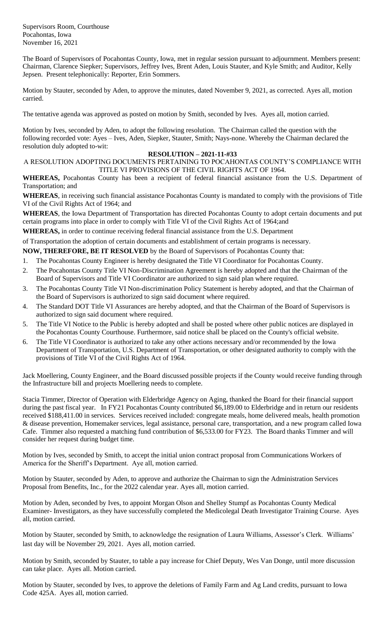Supervisors Room, Courthouse Pocahontas, Iowa November 16, 2021

The Board of Supervisors of Pocahontas County, Iowa, met in regular session pursuant to adjournment. Members present: Chairman, Clarence Siepker; Supervisors, Jeffrey Ives, Brent Aden, Louis Stauter, and Kyle Smith; and Auditor, Kelly Jepsen. Present telephonically: Reporter, Erin Sommers.

Motion by Stauter, seconded by Aden, to approve the minutes, dated November 9, 2021, as corrected. Ayes all, motion carried.

The tentative agenda was approved as posted on motion by Smith, seconded by Ives. Ayes all, motion carried.

Motion by Ives, seconded by Aden, to adopt the following resolution. The Chairman called the question with the following recorded vote: Ayes – Ives, Aden, Siepker, Stauter, Smith; Nays-none. Whereby the Chairman declared the resolution duly adopted to-wit:

## **RESOLUTION – 2021-11-#33**

A RESOLUTION ADOPTING DOCUMENTS PERTAINING TO POCAHONTAS COUNTY'S COMPLIANCE WITH TITLE VI PROVISIONS OF THE CIVIL RIGHTS ACT OF 1964.

**WHEREAS,** Pocahontas County has been a recipient of federal financial assistance from the U.S. Department of Transportation; and

**WHEREAS**, in receiving such financial assistance Pocahontas County is mandated to comply with the provisions of Title VI of the Civil Rights Act of 1964; and

**WHEREAS**, the Iowa Department of Transportation has directed Pocahontas County to adopt certain documents and put certain programs into place in order to comply with Title VI of the Civil Rights Act of 1964;and

**WHEREAS,** in order to continue receiving federal financial assistance from the U.S. Department

of Transportation the adoption of certain documents and establishment of certain programs is necessary.

**NOW, THEREFORE, BE IT RESOLVED** by the Board of Supervisors of Pocahontas County that:

- 1. The Pocahontas County Engineer is hereby designated the Title VI Coordinator for Pocahontas County.
- 2. The Pocahontas County Title VI Non-Discrimination Agreement is hereby adopted and that the Chairman of the Board of Supervisors and Title VI Coordinator are authorized to sign said plan where required.
- 3. The Pocahontas County Title VI Non-discrimination Policy Statement is hereby adopted, and that the Chairman of the Board of Supervisors is authorized to sign said document where required.
- 4. The Standard DOT Title VI Assurances are hereby adopted, and that the Chairman of the Board of Supervisors is authorized to sign said document where required.
- 5. The Title VI Notice to the Public is hereby adopted and shall be posted where other public notices are displayed in the Pocahontas County Courthouse. Furthermore, said notice shall be placed on the County's official website.
- 6. The Title VI Coordinator is authorized to take any other actions necessary and/or recommended by the Iowa Department of Transportation, U.S. Department of Transportation, or other designated authority to comply with the provisions of Title VI of the Civil Rights Act of 1964.

Jack Moellering, County Engineer, and the Board discussed possible projects if the County would receive funding through the Infrastructure bill and projects Moellering needs to complete.

Stacia Timmer, Director of Operation with Elderbridge Agency on Aging, thanked the Board for their financial support during the past fiscal year. In FY21 Pocahontas County contributed \$6,189.00 to Elderbridge and in return our residents received \$188,411.00 in services. Services received included: congregate meals, home delivered meals, health promotion & disease prevention, Homemaker services, legal assistance, personal care, transportation, and a new program called Iowa Cafe. Timmer also requested a matching fund contribution of \$6,533.00 for FY23. The Board thanks Timmer and will consider her request during budget time.

Motion by Ives, seconded by Smith, to accept the initial union contract proposal from Communications Workers of America for the Sheriff's Department. Aye all, motion carried.

Motion by Stauter, seconded by Aden, to approve and authorize the Chairman to sign the Administration Services Proposal from Benefits, Inc., for the 2022 calendar year. Ayes all, motion carried.

Motion by Aden, seconded by Ives, to appoint Morgan Olson and Shelley Stumpf as Pocahontas County Medical Examiner- Investigators, as they have successfully completed the Medicolegal Death Investigator Training Course. Ayes all, motion carried.

Motion by Stauter, seconded by Smith, to acknowledge the resignation of Laura Williams, Assessor's Clerk. Williams' last day will be November 29, 2021. Ayes all, motion carried.

Motion by Smith, seconded by Stauter, to table a pay increase for Chief Deputy, Wes Van Donge, until more discussion can take place. Ayes all. Motion carried.

Motion by Stauter, seconded by Ives, to approve the deletions of Family Farm and Ag Land credits, pursuant to Iowa Code 425A. Ayes all, motion carried.